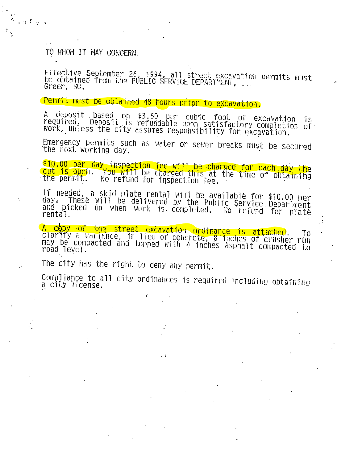## TO WHOM IT MAY CONCERN:

 $\frac{1}{2}$   $\frac{1}{2}$   $\frac{1}{2}$   $\frac{1}{2}$   $\frac{1}{2}$   $\frac{1}{2}$ 

Effective September 26, 1994, all street excavation permits must<br>be obtained from the PUBLIC SERVICE DEPARTMENT, Greer, SC.

# Permit must be obtained 48 hours prior to excavation.

A deposit based on \$3.50 per cubic foot of excavation is<br>required. Deposit is refundable upon satisfactory completion of<br>work, unless the city assumes responsibility for excavation.

Emergency permits such as water or sewer breaks must be secured the next working day.

\$10.00 per day inspection fee will be charged for each day the<br>cut is open. You will be charged this at the time of obtaining No refund for inspection fee. the permit.

If needed, a skid plate rental will be available for \$10.00 per<br>day. These will be delivered by the Public Service Department and picked up when work is completed. No refund for plate rental.

A copy of the street excavation ordinance is attached. clarify a variance, in lieu of concrete, 8 inches of crusher run<br>may be compacted and topped with 4 inches asphalt compacted to road level.

The city has the right to deny any permit.

Compliance to all city ordinances is required including obtaining a city license.

 $\mathbf{A}$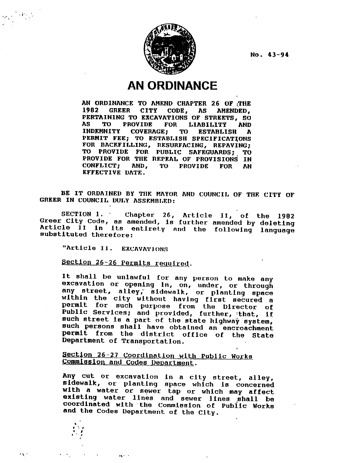

No. 43-94

## **AN ORDINANCE**

AN ORDINANCE TO AMEND CHAPTER 26 OF THE GREER CITY CODE, AS AMENDED, 1982 PERTAINING TO EXCAVATIONS OF STREETS, SO PROVIDE FOR LIABILITY AS. **TO AND INDEMNITY COVERAGE:** TO **ESTABLISH**  $\mathbf{r}$ PERMIT FEE; TO ESTABLISH SPECIFICATIONS FOR BACKFILLING, RESURFACING, REPAVING; TO PROVIDE FOR PUBLIC SAFEGUARDS; TO PROVIDE FOR THE REPEAL OF PROVISIONS IN CONFLICT; AND, TO PROVIDE **FOR AN** EFFECTIVE DATE.

BE IT ORDAINED BY THE MAYOR AND COUNCIL OF THE CITY OF GREER IN COUNCIL DULY ASSEMBLED:

SECTION 1. Chapter 26, Article II, of the 1982 Greer City Code, as amended, is further amended by deleting Article il in its entirety and the following language substituted therefore:

"Article II. EXCAVATIONS

Section 26-26 Permits required.

 $\mathbf{r}$ 

It shall be unlawful for any person to make any excavation or opening in, on, under, or through any street, alley, sidewalk, or planting space within the city without having first secured a<br>permit for such purpose from the Director of Public Services; and provided, further, that, if such street is a part of the state highway system, such persons shall have obtained an encroachment permit from the district office of the State Department of Transportation.

### Section 26-27 Coordination with Public Works Commission and Codes Department.

Any cut or excavation in a city street, alley, sidewalk, or planting space which is concerned with a water or sewer tap or which may affect existing water lines and sewer lines shall be<br>coordinated with the Commission of Public Works and the Codes Department of the City.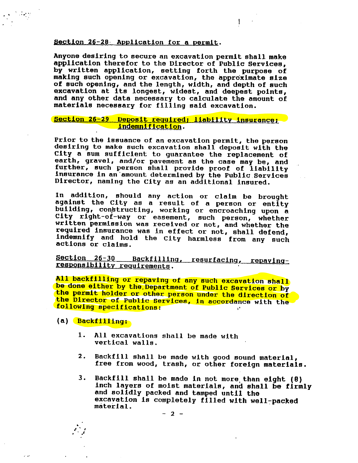### Section 26-28 Application for a permit.

Anyone desiring to secure an excavation permit shall make application therefor to the Director of Public Services, by written application, setting forth the purpose of making such opening or excavation, the approximate size of such opening, and the length, width, and depth of such excavation at its longest, widest, and deepest points, and any other data necessary to calculate the amount of materials necessary for filling said excavation.

Ŧ

### Section 26-29 Deposit required; liability insurance; indemnification.

Prior to the issuance of an excavation permit, the person desiring to make such excavation shall deposit with the City a sum sufficient to guarantee the replacement of earth, gravel, and/or pavement as the case may be, and further, such person shall provide proof of liability insurance in an amount determined by the Public Services Director, naming the City as an additional insured.

In addition, should any action or claim be brought against the City as a result of a person or entity building, constructing, working or encroaching upon a City right-of-way or easement, such person, whether written permission was received or not, and whether the required insurance was in effect or not, shall defend, indemnify and hold the City harmless from any such actions or claims.

Section 26-30 Backfilling, resurfacing, repayingresponsibility requirements.

All backfilling or repaving of any such excavation shall be done either by the Department of Public Services or by the permit holder or other person under the direction of the Director of Public Services, in accordance with the following specifications:

(a) Backfilling:

وبالرد

- 1. All excavations shall be made with vertical walls.
- $2.$ Backfill shall be made with good sound material, free from wood, trash, or other foreign materials.
- 3. Backfill shall be made in not more than eight (8) inch layers of moist materials, and shall be firmly and solidly packed and tamped until the excavation is completely filled with well-packed material.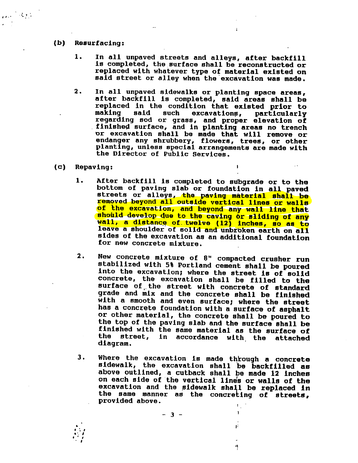#### $(b)$ **Resurfacing:**

 $\sim 10^{-1}$ 

In all unpaved streets and alleys, after backfill 1. is completed, the surface shall be reconstructed or replaced with whatever type of material existed on said street or alley when the excavation was made.

÷.

 $\mathbf{r}$ 

- $2.$ In all unpaved sidewalks or planting space areas, after backfill is completed, said areas shall be replaced in the condition that existed prior to making said such excavations, particularly regarding sod or grass, and proper elevation of finished surface, and in planting areas no trench or excavation shall be made that will remove or endanger any shrubbery, flowers, trees, or other planting, unless special arrangements are made with the Director of Public Services.
- $(c)$ Repaving:
	- After backfill is completed to subgrade or to the 1. bottom of paving slab or foundation in all paved streets or alleys, the paving material shall be removed beyond all outside vertical lines or walls of the excavation, and beyond any wall line that should develop due to the caving or sliding of any wall, a distance of twelve (12) inches, so as to leave a shoulder of solid and unbroken earth on all sides of the excavation as an additional foundation for new concrete mixture.
	- New concrete mixture of 8" compacted crusher run  $\mathbf{2}$  . stabilized with 5% Portland cement shall be poured into the excavation; where the street is of solid concrete, the excavation shall be filled to the surface of the street with concrete of standard grade and mix and the concrete shall be finished with a smooth and even surface; where the street has a concrete foundation with a surface of asphalt or other material, the concrete shall be poured to the top of the paving slab and the surface shall be finished with the same material as the surface of the street, in accordance with the attached diagram.
	- $3.$ Where the excavation is made through a concrete sidewalk, the excavation shall be backfilled as above outlined, a cutback shall be made 12 inches on each side of the vertical lines or walls of the excavation and the sidewalk shall be replaced in the same manner as the concreting of streets, provided above.  $\Gamma_{\rm L}$

 $\mathbf{I}$ 

É

r)

 $-3 -$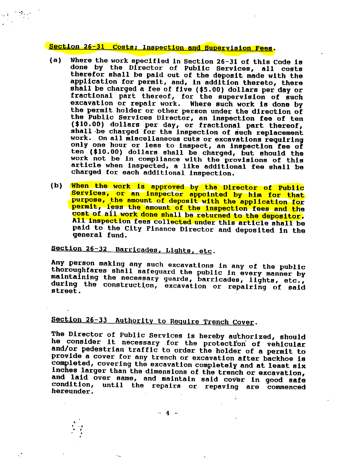## Section 26-31 Costs; Inspection and Supervision Fees.

- Where the work specified in Section 26-31 of this Code is  $(a)$ done by the Director of Public Services, all costs therefor shall be paid out of the deposit made with the application for permit, and, in addition thereto, there shall be charged a fee of five (\$5.00) dollars per day or fractional part thereof, for the supervision of such excavation or repair work. Where such work is done by the permit holder or other person under the direction of the Public Services Director, an inspection fee of ten (\$10.00) dollars per day, or fractional part thereof, shall be charged for the inspection of such replacement work. On all miscellaneous cuts or excavations requiring only one hour or less to inspect, an inspection fee of ten (\$10.00) dollars shall be charged, but should the work not be in compliance with the provisions of this article when inspected, a like additional fee shall be charged for each additional inspection.
- When the work is approved by the Director of Public  $(b)$ Services, or an inspector appointed by him for that purpose, the amount of deposit with the application for permit, less the amount of the inspection fees and the cost of all work done shall be returned to the depositor. All inspection fees collected under this article shall be paid to the City Finance Director and deposited in the general fund.

## Section 26-32 Barricades, Lights, etc.

 $\ddotsc$ 

Any person making any such excavations in any of the public thoroughfares shall safeguard the public in every manner by maintaining the necessary guards, barricades, lights, etc., during the construction, excavation or repairing of said street.

## Section 26-33 Authority to Require Trench Cover.

The Director of Public Services is hereby authorized, should he consider it necessary for the protection of vehicular and/or pedestrian traffic to order the holder of a permit to provide a cover for any trench or excavation after backhoe is completed, covering the excavation completely and at least six inches larger than the dimensions of the trench or excavation, and laid over same, and maintain said cover in good safe condition, until the repairs or repaving are commenced hereunder.

 $-4 -$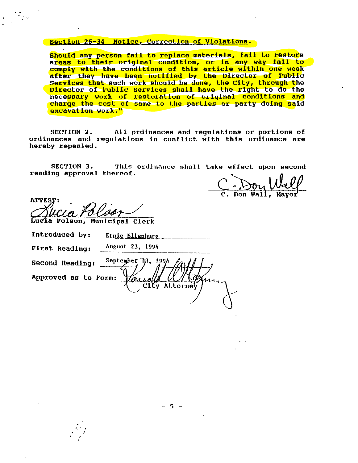### Section 26-34 Notice, Correction of Violations.

Should any person fail to replace materials, fail to restore areas to their original condition, or in any way fail to comply with the conditions of this article within one week after they have been notified by the Director of Public Services that such work should be done, the City, through the Director of Public Services shall have the right to do the necessary work of restoration of original conditions and charge the cost of same to the parties or party doing said excavation work."

SECTION 2. All ordinances and regulations or portions of ordinances and regulations in conflict with this ordinance are hereby repealed.

SECTION 3. This ordinance shall take effect upon second reading approval thereof.

City Attorney

Don Wall.

**ATTEST:** Lugia Polson, Municipal Clerk

Introduced by: Ernie Ellenburg **August 23, 1994** First Reading:

September 13, 199/

 $2011$ 

Second Reading:

Approved as to Form: